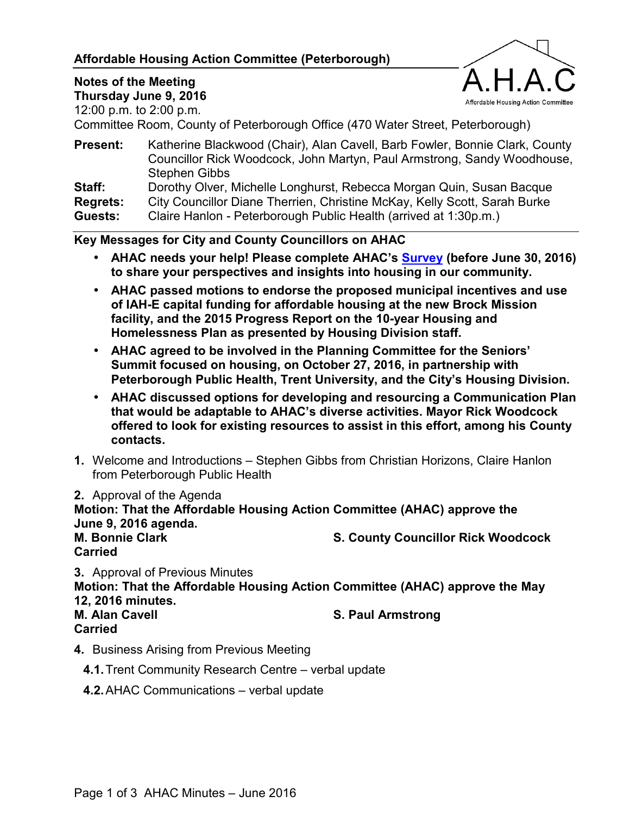#### **Affordable Housing Action Committee (Peterborough)**



## **Notes of the Meeting**

**Thursday June 9, 2016**  12:00 p.m. to 2:00 p.m.

Committee Room, County of Peterborough Office (470 Water Street, Peterborough)

**Present:** Katherine Blackwood (Chair), Alan Cavell, Barb Fowler, Bonnie Clark, County Councillor Rick Woodcock, John Martyn, Paul Armstrong, Sandy Woodhouse, Stephen Gibbs

**Staff:** Dorothy Olver, Michelle Longhurst, Rebecca Morgan Quin, Susan Bacque

**Regrets:** City Councillor Diane Therrien, Christine McKay, Kelly Scott, Sarah Burke

**Guests:** Claire Hanlon - Peterborough Public Health (arrived at 1:30p.m.)

#### **Key Messages for City and County Councillors on AHAC**

- **AHAC needs your help! Please complete AHAC's [Survey](http://fluidsurveys.com/surveys/jchenier/housing-in-peterborough/) (before June 30, 2016) to share your perspectives and insights into housing in our community.**
- **AHAC passed motions to endorse the proposed municipal incentives and use of IAH-E capital funding for affordable housing at the new Brock Mission facility, and the 2015 Progress Report on the 10-year Housing and Homelessness Plan as presented by Housing Division staff.**
- **AHAC agreed to be involved in the Planning Committee for the Seniors' Summit focused on housing, on October 27, 2016, in partnership with Peterborough Public Health, Trent University, and the City's Housing Division.**
- **AHAC discussed options for developing and resourcing a Communication Plan that would be adaptable to AHAC's diverse activities. Mayor Rick Woodcock offered to look for existing resources to assist in this effort, among his County contacts.**
- **1.** Welcome and Introductions Stephen Gibbs from Christian Horizons, Claire Hanlon from Peterborough Public Health
- **2.** Approval of the Agenda

**Motion: That the Affordable Housing Action Committee (AHAC) approve the June 9, 2016 agenda. M. Bonnie Clark County County Councillor Rick Woodcock Carried** 

**3.** Approval of Previous Minutes

**Motion: That the Affordable Housing Action Committee (AHAC) approve the May 12, 2016 minutes.** 

**M. Alan Cavell S. Paul Armstrong Community** S. Paul Armstrong **Carried** 

**4.** Business Arising from Previous Meeting

**4.1.** Trent Community Research Centre – verbal update

**4.2.** AHAC Communications – verbal update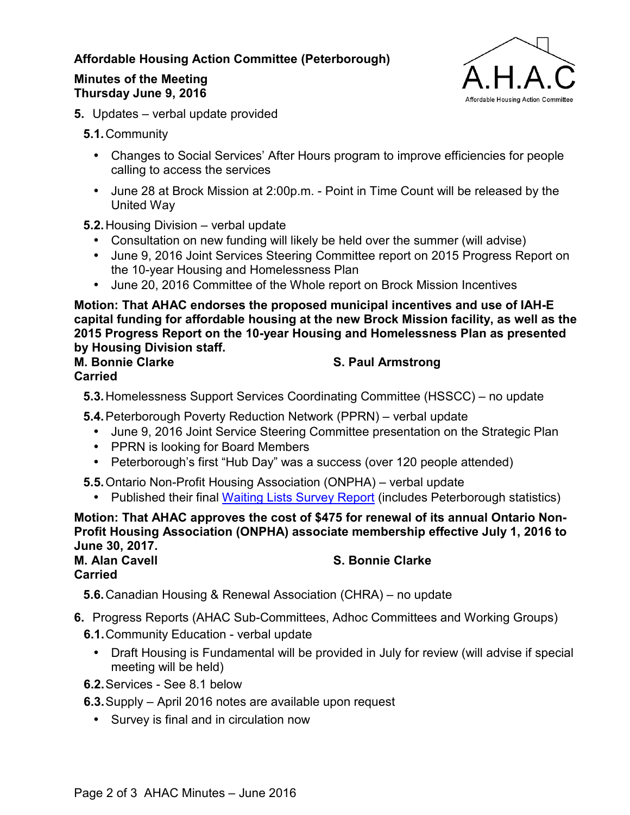#### **Affordable Housing Action Committee (Peterborough)**

#### **Minutes of the Meeting Thursday June 9, 2016**



**5.** Updates – verbal update provided

**5.1.** Community

- Changes to Social Services' After Hours program to improve efficiencies for people calling to access the services
- June 28 at Brock Mission at 2:00p.m. Point in Time Count will be released by the United Way

**5.2.** Housing Division – verbal update

- Consultation on new funding will likely be held over the summer (will advise)
- June 9, 2016 Joint Services Steering Committee report on 2015 Progress Report on the 10-year Housing and Homelessness Plan
- June 20, 2016 Committee of the Whole report on Brock Mission Incentives

**Motion: That AHAC endorses the proposed municipal incentives and use of IAH-E capital funding for affordable housing at the new Brock Mission facility, as well as the 2015 Progress Report on the 10-year Housing and Homelessness Plan as presented by Housing Division staff.**

# **Carried**

### **M. Bonnie Clarke S. Paul Armstrong Clarke**

**5.3.** Homelessness Support Services Coordinating Committee (HSSCC) – no update

**5.4.** Peterborough Poverty Reduction Network (PPRN) – verbal update

- June 9, 2016 Joint Service Steering Committee presentation on the Strategic Plan
- PPRN is looking for Board Members
- Peterborough's first "Hub Day" was a success (over 120 people attended)

**5.5.** Ontario Non-Profit Housing Association (ONPHA) – verbal update

• Published their final [Waiting Lists Survey Report \(](http://www.onpha.on.ca/onpha/web/Policyandresearch/2016_Waiting_List_Survey/Content/PolicyAndResearch/Waiting_Lists_2016/2016_Waiting_Lists_Survey.aspx?hkey=08cff4ce-7f97-4af4-910c-c64954d28a4a)includes Peterborough statistics)

**Motion: That AHAC approves the cost of \$475 for renewal of its annual Ontario Non-Profit Housing Association (ONPHA) associate membership effective July 1, 2016 to June 30, 2017. M. Alan Cavell** S. Bonnie Clarke

**Carried** 

**5.6.** Canadian Housing & Renewal Association (CHRA) – no update

- **6.** Progress Reports (AHAC Sub-Committees, Adhoc Committees and Working Groups)
	- **6.1.** Community Education verbal update
		- Draft Housing is Fundamental will be provided in July for review (will advise if special meeting will be held)
	- **6.2.** Services See 8.1 below
	- **6.3.** Supply April 2016 notes are available upon request
		- Survey is final and in circulation now